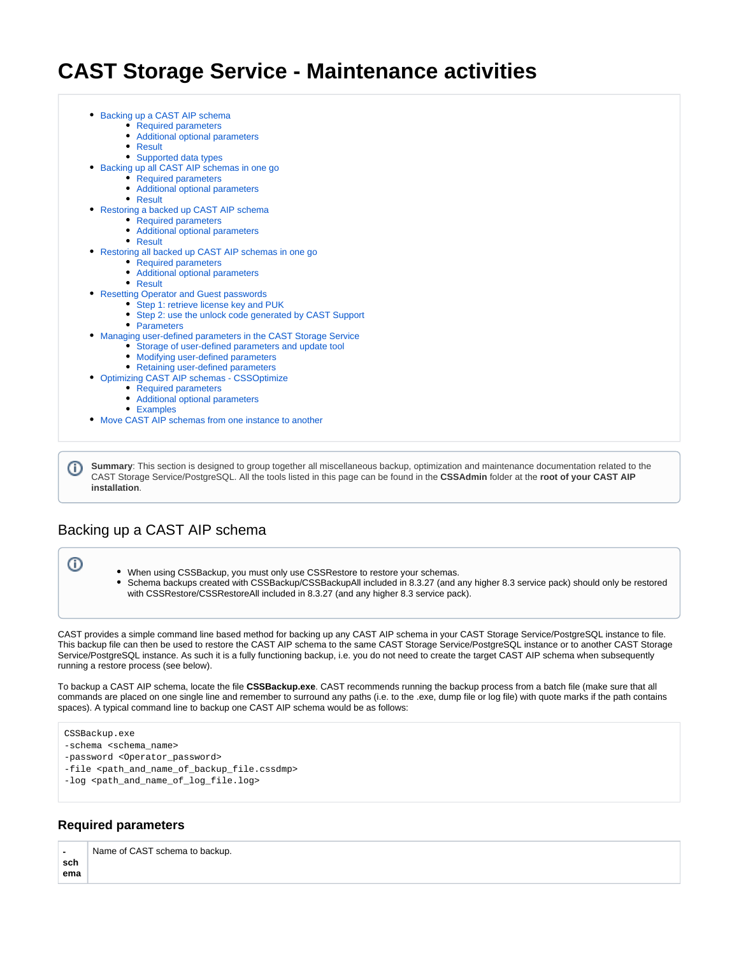# **CAST Storage Service - Maintenance activities**

• [Required parameters](#page-0-1) [Additional optional parameters](#page-1-0) [Result](#page-1-1) • [Supported data types](#page-1-2) [Backing up all CAST AIP schemas in one go](#page-2-0) [Required parameters](#page-2-1) [Additional optional parameters](#page-2-2) • [Result](#page-3-0) • [Restoring a backed up CAST AIP schema](#page-3-1) • [Required parameters](#page-3-2) [Additional optional parameters](#page-4-0) • [Result](#page-4-1) [Restoring all backed up CAST AIP schemas in one go](#page-4-2) • [Required parameters](#page-5-0) [Additional optional parameters](#page-5-1) • [Result](#page-6-0) [Resetting Operator and Guest passwords](#page-6-1) • [Step 1: retrieve license key and PUK](#page-6-2) [Step 2: use the unlock code generated by CAST Support](#page-6-3) • [Parameters](#page-7-0) [Managing user-defined parameters in the CAST Storage Service](#page-7-1) [Storage of user-defined parameters and update tool](#page-7-2) • [Modifying user-defined parameters](#page-7-3) • [Retaining user-defined parameters](#page-8-0) [Optimizing CAST AIP schemas - CSSOptimize](#page-8-1) • [Required parameters](#page-8-2) [Additional optional parameters](#page-8-3) • [Examples](#page-9-0) [Move CAST AIP schemas from one instance to another](#page-9-1)

**Summary**: This section is designed to group together all miscellaneous backup, optimization and maintenance documentation related to the CAST Storage Service/PostgreSQL. All the tools listed in this page can be found in the **CSSAdmin** folder at the **root of your CAST AIP installation**.

# <span id="page-0-0"></span>Backing up a CAST AIP schema

• [Backing up a CAST AIP schema](#page-0-0)

⊙

(i)

- When using CSSBackup, you must only use CSSRestore to restore your schemas.
- $\bullet$ Schema backups created with CSSBackup/CSSBackupAll included in 8.3.27 (and any higher 8.3 service pack) should only be restored with CSSRestore/CSSRestoreAll included in 8.3.27 (and any higher 8.3 service pack).

CAST provides a simple command line based method for backing up any CAST AIP schema in your CAST Storage Service/PostgreSQL instance to file. This backup file can then be used to restore the CAST AIP schema to the same CAST Storage Service/PostgreSQL instance or to another CAST Storage Service/PostgreSQL instance. As such it is a fully functioning backup, i.e. you do not need to create the target CAST AIP schema when subsequently running a restore process (see below).

To backup a CAST AIP schema, locate the file **CSSBackup.exe**. CAST recommends running the backup process from a batch file (make sure that all commands are placed on one single line and remember to surround any paths (i.e. to the .exe, dump file or log file) with quote marks if the path contains spaces). A typical command line to backup one CAST AIP schema would be as follows:

```
CSSBackup.exe
-schema <schema_name>
-password <Operator_password>
-file <path_and_name_of_backup_file.cssdmp>
-log <path_and_name_of_log_file.log>
```
# <span id="page-0-1"></span>**Required parameters**

 **sch ema** Name of CAST schema to backup.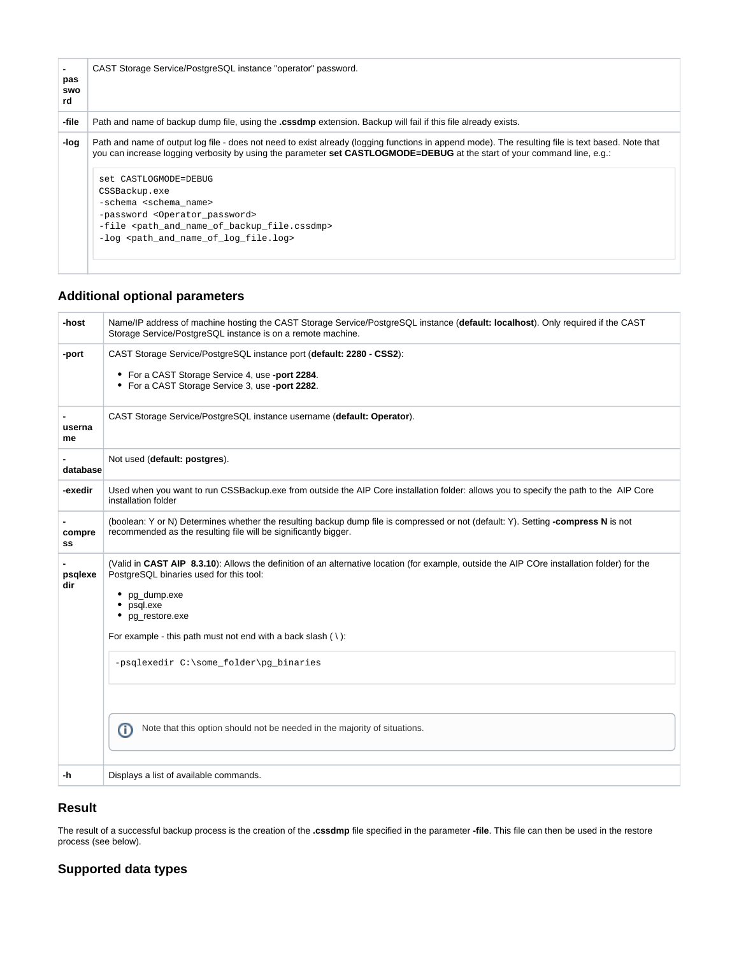| CAST Storage Service/PostgreSQL instance "operator" password.                                                                                                                                                                                                                                                                                                                                                                                                                                                                                                                     |
|-----------------------------------------------------------------------------------------------------------------------------------------------------------------------------------------------------------------------------------------------------------------------------------------------------------------------------------------------------------------------------------------------------------------------------------------------------------------------------------------------------------------------------------------------------------------------------------|
| Path and name of backup dump file, using the <b>cssdmp</b> extension. Backup will fail if this file already exists.                                                                                                                                                                                                                                                                                                                                                                                                                                                               |
| Path and name of output log file - does not need to exist already (logging functions in append mode). The resulting file is text based. Note that<br>you can increase logging verbosity by using the parameter set CASTLOGMODE=DEBUG at the start of your command line, e.g.:<br>set CASTLOGMODE=DEBUG<br>CSSBackup.exe<br>-schema <schema name=""><br/>-password <operator_password><br/>-file <path_and_name_of_backup_file.cssdmp><br/>-log <path_and_name_of_log_file.log></path_and_name_of_log_file.log></path_and_name_of_backup_file.cssdmp></operator_password></schema> |
|                                                                                                                                                                                                                                                                                                                                                                                                                                                                                                                                                                                   |

# <span id="page-1-0"></span>**Additional optional parameters**

| -host          | Name/IP address of machine hosting the CAST Storage Service/PostgreSQL instance (default: localhost). Only required if the CAST<br>Storage Service/PostgreSQL instance is on a remote machine.                                                                                                                                                                                                                                                  |
|----------------|-------------------------------------------------------------------------------------------------------------------------------------------------------------------------------------------------------------------------------------------------------------------------------------------------------------------------------------------------------------------------------------------------------------------------------------------------|
| -port          | CAST Storage Service/PostgreSQL instance port (default: 2280 - CSS2):<br>• For a CAST Storage Service 4, use -port 2284.<br>• For a CAST Storage Service 3, use -port 2282.                                                                                                                                                                                                                                                                     |
| userna<br>me   | CAST Storage Service/PostgreSQL instance username (default: Operator).                                                                                                                                                                                                                                                                                                                                                                          |
| database       | Not used (default: postgres).                                                                                                                                                                                                                                                                                                                                                                                                                   |
| -exedir        | Used when you want to run CSSBackup.exe from outside the AIP Core installation folder: allows you to specify the path to the AIP Core<br>installation folder                                                                                                                                                                                                                                                                                    |
| compre<br>SS   | (boolean: Y or N) Determines whether the resulting backup dump file is compressed or not (default: Y). Setting -compress N is not<br>recommended as the resulting file will be significantly bigger.                                                                                                                                                                                                                                            |
| psqlexe<br>dir | (Valid in CAST AIP 8.3.10): Allows the definition of an alternative location (for example, outside the AIP COre installation folder) for the<br>PostgreSQL binaries used for this tool:<br>pg_dump.exe<br>psql.exe<br>pq restore.exe<br>٠<br>For example - this path must not end with a back slash $( \n\cdot )$ :<br>-psqlexedir C:\some_folder\pg_binaries<br>Note that this option should not be needed in the majority of situations.<br>⋒ |
| -h             | Displays a list of available commands.                                                                                                                                                                                                                                                                                                                                                                                                          |

# <span id="page-1-1"></span>**Result**

The result of a successful backup process is the creation of the **.cssdmp** file specified in the parameter **-file**. This file can then be used in the restore process (see below).

# <span id="page-1-2"></span>**Supported data types**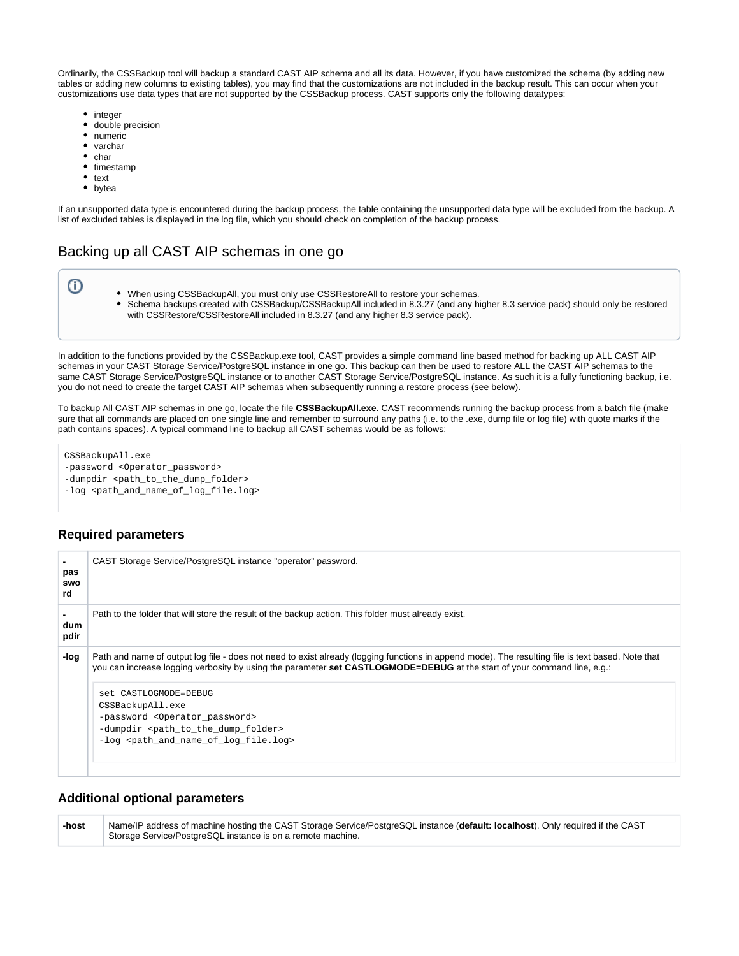Ordinarily, the CSSBackup tool will backup a standard CAST AIP schema and all its data. However, if you have customized the schema (by adding new tables or adding new columns to existing tables), you may find that the customizations are not included in the backup result. This can occur when your customizations use data types that are not supported by the CSSBackup process. CAST supports only the following datatypes:

- integer
- double precision
- numeric
- varchar
- $\bullet$  char
- timestamp
- $\bullet$  text
- bytea

➀

If an unsupported data type is encountered during the backup process, the table containing the unsupported data type will be excluded from the backup. A list of excluded tables is displayed in the log file, which you should check on completion of the backup process.

# <span id="page-2-0"></span>Backing up all CAST AIP schemas in one go

- When using CSSBackupAll, you must only use CSSRestoreAll to restore your schemas.
	- $\bullet$ Schema backups created with CSSBackup/CSSBackupAll included in 8.3.27 (and any higher 8.3 service pack) should only be restored with CSSRestore/CSSRestoreAll included in 8.3.27 (and any higher 8.3 service pack).

In addition to the functions provided by the CSSBackup.exe tool, CAST provides a simple command line based method for backing up ALL CAST AIP schemas in your CAST Storage Service/PostgreSQL instance in one go. This backup can then be used to restore ALL the CAST AIP schemas to the same CAST Storage Service/PostgreSQL instance or to another CAST Storage Service/PostgreSQL instance. As such it is a fully functioning backup, i.e. you do not need to create the target CAST AIP schemas when subsequently running a restore process (see below).

To backup All CAST AIP schemas in one go, locate the file **CSSBackupAll.exe**. CAST recommends running the backup process from a batch file (make sure that all commands are placed on one single line and remember to surround any paths (i.e. to the .exe, dump file or log file) with quote marks if the path contains spaces). A typical command line to backup all CAST schemas would be as follows:

CSSBackupAll.exe

- -password <Operator\_password>
- -dumpdir <path\_to\_the\_dump\_folder>

-log <path\_and\_name\_of\_log\_file.log>

# <span id="page-2-1"></span>**Required parameters**

| pas<br>swo<br>rd | CAST Storage Service/PostgreSQL instance "operator" password.                                                                                                                                                                                                                                                                                                                   |
|------------------|---------------------------------------------------------------------------------------------------------------------------------------------------------------------------------------------------------------------------------------------------------------------------------------------------------------------------------------------------------------------------------|
| dum<br>pdir      | Path to the folder that will store the result of the backup action. This folder must already exist.                                                                                                                                                                                                                                                                             |
| -loq             | Path and name of output log file - does not need to exist already (logging functions in append mode). The resulting file is text based. Note that<br>you can increase logging verbosity by using the parameter set CASTLOGMODE=DEBUG at the start of your command line, e.g.:<br>set CASTLOGMODE=DEBUG<br>CSSBackupAll.exe<br>-password <operator_password></operator_password> |
|                  | -dumpdir <path_to_the_dump_folder><br/>-log <path and="" file.log="" log="" name="" of=""></path></path_to_the_dump_folder>                                                                                                                                                                                                                                                     |

# <span id="page-2-2"></span>**Additional optional parameters**

**-host** Name/IP address of machine hosting the CAST Storage Service/PostgreSQL instance (**default: localhost**). Only required if the CAST Storage Service/PostgreSQL instance is on a remote machine.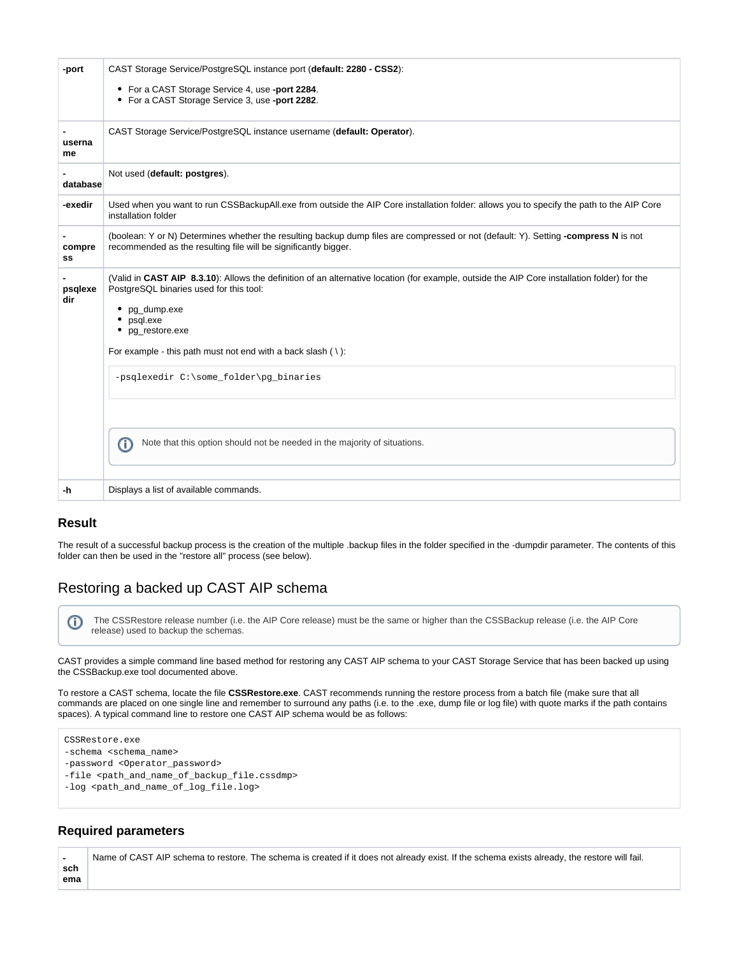| -port          | CAST Storage Service/PostgreSQL instance port (default: 2280 - CSS2):<br>• For a CAST Storage Service 4, use -port 2284.<br>• For a CAST Storage Service 3, use -port 2282.                                                                                                                                           |
|----------------|-----------------------------------------------------------------------------------------------------------------------------------------------------------------------------------------------------------------------------------------------------------------------------------------------------------------------|
| userna<br>me   | CAST Storage Service/PostgreSQL instance username (default: Operator).                                                                                                                                                                                                                                                |
| database       | Not used (default: postgres).                                                                                                                                                                                                                                                                                         |
| -exedir        | Used when you want to run CSSBackupAll.exe from outside the AIP Core installation folder: allows you to specify the path to the AIP Core<br>installation folder                                                                                                                                                       |
| compre<br>SS   | (boolean: Y or N) Determines whether the resulting backup dump files are compressed or not (default: Y). Setting -compress N is not<br>recommended as the resulting file will be significantly bigger.                                                                                                                |
| psqlexe<br>dir | (Valid in CAST AIP 8.3.10): Allows the definition of an alternative location (for example, outside the AIP Core installation folder) for the<br>PostgreSQL binaries used for this tool:<br>• pg_dump.exe<br>psgl.exe<br>pg restore.exe<br>٠<br>For example - this path must not end with a back slash $( \n\cdot )$ : |
|                | -psqlexedir C:\some_folder\pg_binaries                                                                                                                                                                                                                                                                                |
|                | Note that this option should not be needed in the majority of situations.<br>⋒                                                                                                                                                                                                                                        |
| -h             | Displays a list of available commands.                                                                                                                                                                                                                                                                                |

# <span id="page-3-0"></span>**Result**

The result of a successful backup process is the creation of the multiple .backup files in the folder specified in the -dumpdir parameter. The contents of this folder can then be used in the "restore all" process (see below).

# <span id="page-3-1"></span>Restoring a backed up CAST AIP schema

 The CSSRestore release number (i.e. the AIP Core release) must be the same or higher than the CSSBackup release (i.e. the AIP Core O release) used to backup the schemas.

CAST provides a simple command line based method for restoring any CAST AIP schema to your CAST Storage Service that has been backed up using the CSSBackup.exe tool documented above.

To restore a CAST schema, locate the file **CSSRestore.exe**. CAST recommends running the restore process from a batch file (make sure that all commands are placed on one single line and remember to surround any paths (i.e. to the .exe, dump file or log file) with quote marks if the path contains spaces). A typical command line to restore one CAST AIP schema would be as follows:

```
CSSRestore.exe
```
-schema <schema\_name>

-password <Operator\_password>

-file <path\_and\_name\_of\_backup\_file.cssdmp>

-log <path\_and\_name\_of\_log\_file.log>

# <span id="page-3-2"></span>**Required parameters**

 **sch ema** Name of CAST AIP schema to restore. The schema is created if it does not already exist. If the schema exists already, the restore will fail.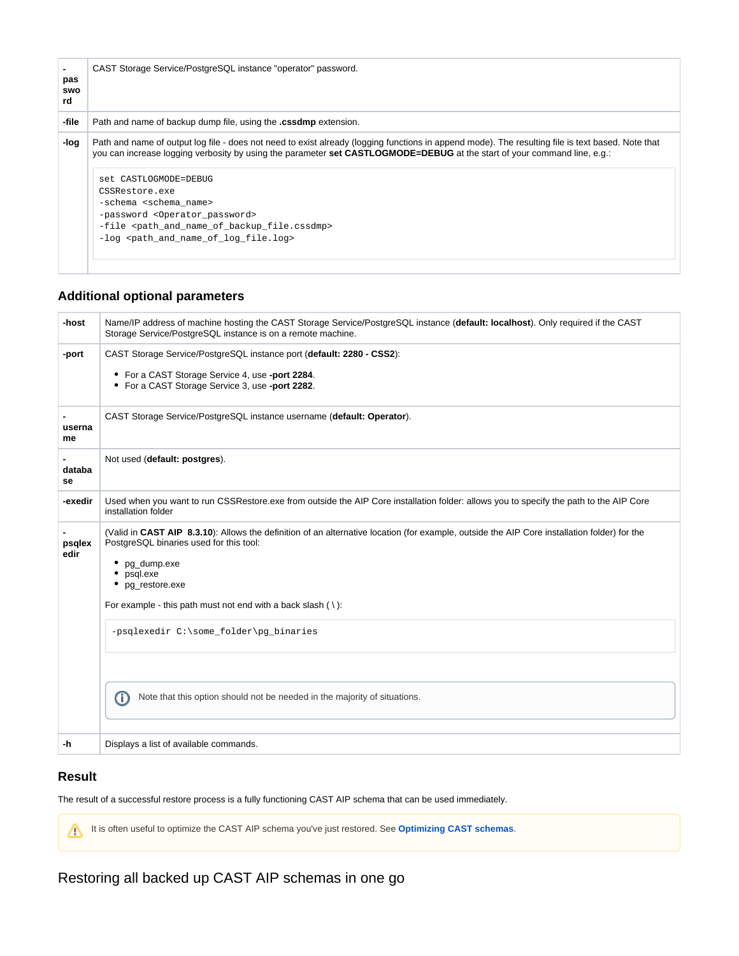| pas<br>swo<br>rd | CAST Storage Service/PostgreSQL instance "operator" password.                                                                                                                                                                                                                                                                                                                                                                                                                                                                                                                |
|------------------|------------------------------------------------------------------------------------------------------------------------------------------------------------------------------------------------------------------------------------------------------------------------------------------------------------------------------------------------------------------------------------------------------------------------------------------------------------------------------------------------------------------------------------------------------------------------------|
| -file            | Path and name of backup dump file, using the .cssdmp extension.                                                                                                                                                                                                                                                                                                                                                                                                                                                                                                              |
| -log             | Path and name of output log file - does not need to exist already (logging functions in append mode). The resulting file is text based. Note that<br>you can increase logging verbosity by using the parameter set CASTLOGMODE=DEBUG at the start of your command line, e.g.:<br>set CASTLOGMODE=DEBUG<br>CSSRestore.exe<br>-schema <schema name=""><br/>-password <operator password=""><br/>-file <path_and_name_of_backup_file.cssdmp><br/>-log <path_and_name_of_log_file.log></path_and_name_of_log_file.log></path_and_name_of_backup_file.cssdmp></operator></schema> |
|                  |                                                                                                                                                                                                                                                                                                                                                                                                                                                                                                                                                                              |

# <span id="page-4-0"></span>**Additional optional parameters**

| -host          | Name/IP address of machine hosting the CAST Storage Service/PostgreSQL instance (default: localhost). Only required if the CAST<br>Storage Service/PostgreSQL instance is on a remote machine.                                                                                                                  |
|----------------|-----------------------------------------------------------------------------------------------------------------------------------------------------------------------------------------------------------------------------------------------------------------------------------------------------------------|
| -port          | CAST Storage Service/PostgreSQL instance port (default: 2280 - CSS2):<br>• For a CAST Storage Service 4, use -port 2284.<br>• For a CAST Storage Service 3, use -port 2282.                                                                                                                                     |
| userna<br>me   | CAST Storage Service/PostgreSQL instance username (default: Operator).                                                                                                                                                                                                                                          |
| databa<br>se   | Not used (default: postgres).                                                                                                                                                                                                                                                                                   |
| -exedir        | Used when you want to run CSSRestore.exe from outside the AIP Core installation folder: allows you to specify the path to the AIP Core<br>installation folder                                                                                                                                                   |
| psqlex<br>edir | (Valid in CAST AIP 8.3.10): Allows the definition of an alternative location (for example, outside the AIP Core installation folder) for the<br>PostgreSQL binaries used for this tool:<br>pg dump.exe<br>psql.exe<br>pg_restore.exe<br>For example - this path must not end with a back slash $( \n\cdot \)$ : |
|                | -psqlexedir C:\some_folder\pg_binaries<br>Note that this option should not be needed in the majority of situations.                                                                                                                                                                                             |
|                | ⋒                                                                                                                                                                                                                                                                                                               |
| -h             | Displays a list of available commands.                                                                                                                                                                                                                                                                          |

# <span id="page-4-1"></span>**Result**

The result of a successful restore process is a fully functioning CAST AIP schema that can be used immediately.

It is often useful to optimize the CAST AIP schema you've just restored. See Optimizing CAST schemas.

<span id="page-4-2"></span>Restoring all backed up CAST AIP schemas in one go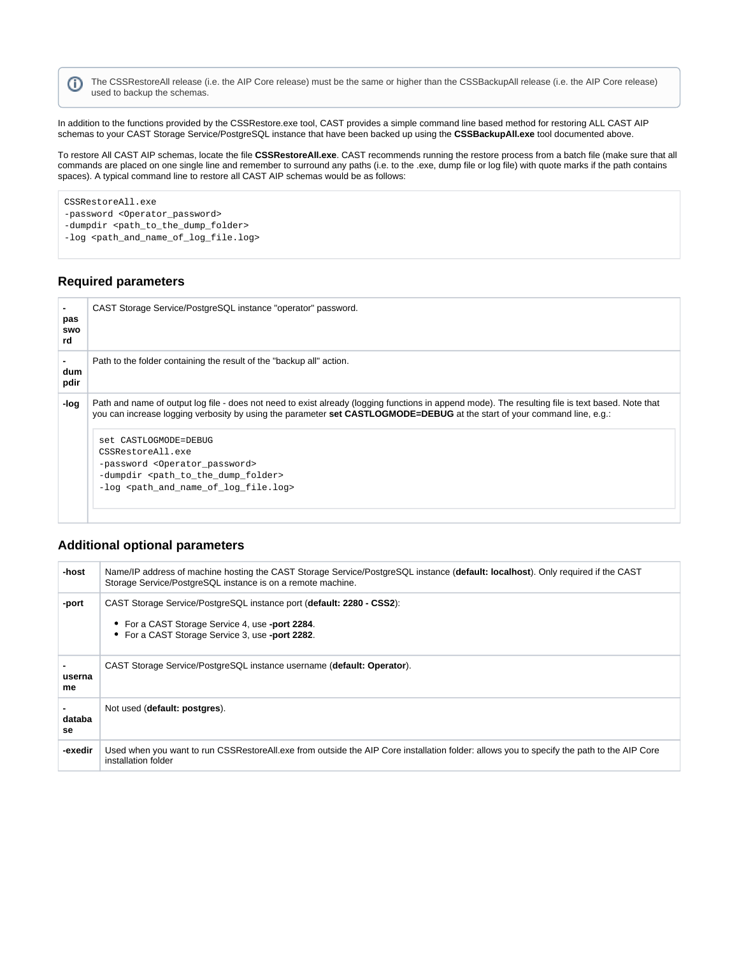The CSSRestoreAll release (i.e. the AIP Core release) must be the same or higher than the CSSBackupAll release (i.e. the AIP Core release) O used to backup the schemas.

In addition to the functions provided by the CSSRestore.exe tool, CAST provides a simple command line based method for restoring ALL CAST AIP schemas to your CAST Storage Service/PostgreSQL instance that have been backed up using the **CSSBackupAll.exe** tool documented above.

To restore All CAST AIP schemas, locate the file **CSSRestoreAll.exe**. CAST recommends running the restore process from a batch file (make sure that all commands are placed on one single line and remember to surround any paths (i.e. to the .exe, dump file or log file) with quote marks if the path contains spaces). A typical command line to restore all CAST AIP schemas would be as follows:

CSSRestoreAll.exe -password <Operator\_password> -dumpdir <path\_to\_the\_dump\_folder> -log <path\_and\_name\_of\_log\_file.log>

# <span id="page-5-0"></span>**Required parameters**

| pas<br>swo<br>rd | CAST Storage Service/PostgreSQL instance "operator" password.                                                                                                                                                                                                                 |
|------------------|-------------------------------------------------------------------------------------------------------------------------------------------------------------------------------------------------------------------------------------------------------------------------------|
| dum<br>pdir      | Path to the folder containing the result of the "backup all" action.                                                                                                                                                                                                          |
| -log             | Path and name of output log file - does not need to exist already (logging functions in append mode). The resulting file is text based. Note that<br>you can increase logging verbosity by using the parameter set CASTLOGMODE=DEBUG at the start of your command line, e.g.: |
|                  | set CASTLOGMODE=DEBUG                                                                                                                                                                                                                                                         |
|                  | CSSRestoreAll.exe<br>-password <operator_password></operator_password>                                                                                                                                                                                                        |
|                  | -dumpdir <path_to_the_dump_folder></path_to_the_dump_folder>                                                                                                                                                                                                                  |
|                  |                                                                                                                                                                                                                                                                               |

# <span id="page-5-1"></span>**Additional optional parameters**

| -host        | Name/IP address of machine hosting the CAST Storage Service/PostgreSQL instance (default: localhost). Only required if the CAST<br>Storage Service/PostgreSQL instance is on a remote machine. |
|--------------|------------------------------------------------------------------------------------------------------------------------------------------------------------------------------------------------|
| -port        | CAST Storage Service/PostgreSQL instance port (default: 2280 - CSS2):<br>• For a CAST Storage Service 4, use -port 2284.<br>• For a CAST Storage Service 3, use -port 2282.                    |
| userna<br>me | CAST Storage Service/PostgreSQL instance username (default: Operator).                                                                                                                         |
| databa<br>se | Not used (default: postgres).                                                                                                                                                                  |
| -exedir      | Used when you want to run CSSRestoreAll.exe from outside the AIP Core installation folder: allows you to specify the path to the AIP Core<br>installation folder                               |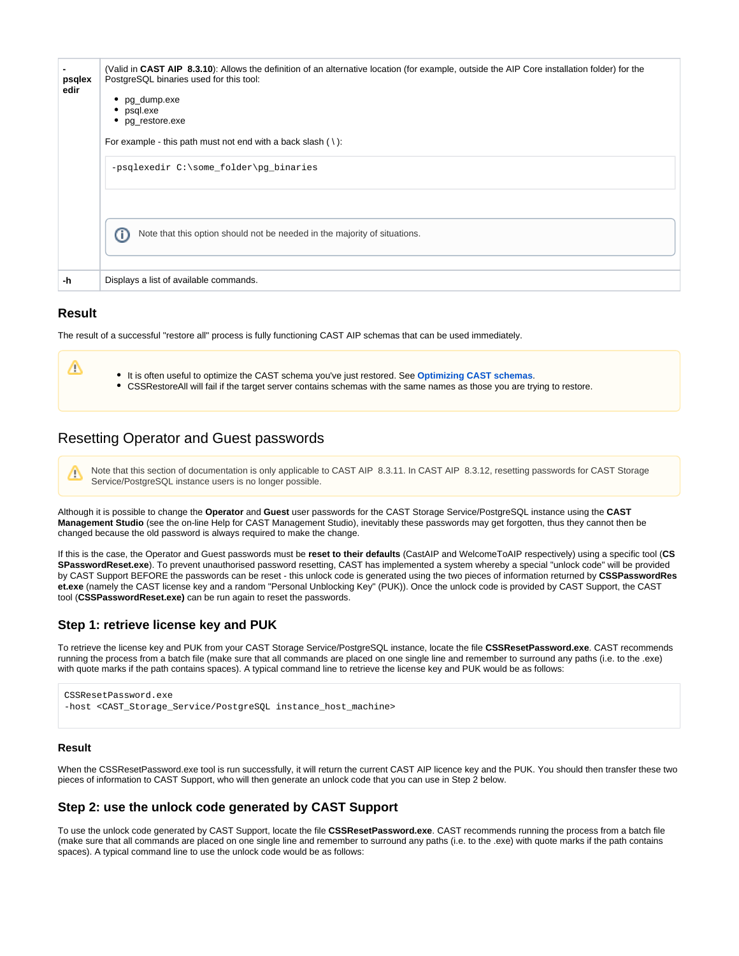| psqlex<br>edir | (Valid in CAST AIP 8.3.10): Allows the definition of an alternative location (for example, outside the AIP Core installation folder) for the<br>PostgreSQL binaries used for this tool:<br>• $pg_dump.exe$<br>• psql.exe<br>• pg_restore.exe<br>For example - this path must not end with a back slash $( \n\cdot )$ :<br>-psqlexedir C:\some_folder\pg_binaries<br>Note that this option should not be needed in the majority of situations.<br>Œ |
|----------------|----------------------------------------------------------------------------------------------------------------------------------------------------------------------------------------------------------------------------------------------------------------------------------------------------------------------------------------------------------------------------------------------------------------------------------------------------|
| -h             | Displays a list of available commands.                                                                                                                                                                                                                                                                                                                                                                                                             |

#### <span id="page-6-0"></span>**Result**

╱╲

The result of a successful "restore all" process is fully functioning CAST AIP schemas that can be used immediately.

Λ It is often useful to optimize the CAST schema you've just restored. See **Optimizing CAST schemas**. CSSRestoreAll will fail if the target server contains schemas with the same names as those you are trying to restore.

# <span id="page-6-1"></span>Resetting Operator and Guest passwords

Note that this section of documentation is only applicable to CAST AIP 8.3.11. In CAST AIP 8.3.12, resetting passwords for CAST Storage Service/PostgreSQL instance users is no longer possible.

Although it is possible to change the **Operator** and **Guest** user passwords for the CAST Storage Service/PostgreSQL instance using the **CAST Management Studio** (see the on-line Help for CAST Management Studio), inevitably these passwords may get forgotten, thus they cannot then be changed because the old password is always required to make the change.

If this is the case, the Operator and Guest passwords must be **reset to their defaults** (CastAIP and WelcomeToAIP respectively) using a specific tool (**CS SPasswordReset.exe**). To prevent unauthorised password resetting, CAST has implemented a system whereby a special "unlock code" will be provided by CAST Support BEFORE the passwords can be reset - this unlock code is generated using the two pieces of information returned by **CSSPasswordRes et.exe** (namely the CAST license key and a random "Personal Unblocking Key" (PUK)). Once the unlock code is provided by CAST Support, the CAST tool (**CSSPasswordReset.exe)** can be run again to reset the passwords.

# <span id="page-6-2"></span>**Step 1: retrieve license key and PUK**

To retrieve the license key and PUK from your CAST Storage Service/PostgreSQL instance, locate the file **CSSResetPassword.exe**. CAST recommends running the process from a batch file (make sure that all commands are placed on one single line and remember to surround any paths (i.e. to the .exe) with quote marks if the path contains spaces). A typical command line to retrieve the license key and PUK would be as follows:

```
CSSResetPassword.exe
-host <CAST_Storage_Service/PostgreSQL instance_host_machine>
```
#### **Result**

When the CSSResetPassword.exe tool is run successfully, it will return the current CAST AIP licence key and the PUK. You should then transfer these two pieces of information to CAST Support, who will then generate an unlock code that you can use in Step 2 below.

# <span id="page-6-3"></span>**Step 2: use the unlock code generated by CAST Support**

To use the unlock code generated by CAST Support, locate the file **CSSResetPassword.exe**. CAST recommends running the process from a batch file (make sure that all commands are placed on one single line and remember to surround any paths (i.e. to the .exe) with quote marks if the path contains spaces). A typical command line to use the unlock code would be as follows: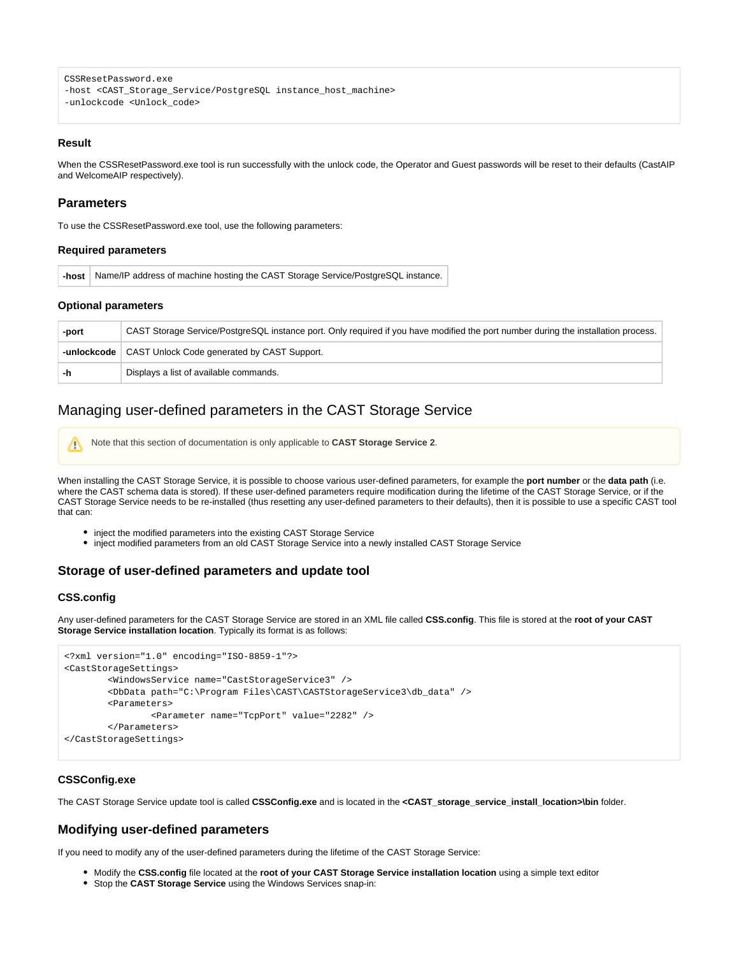```
CSSResetPassword.exe
-host <CAST_Storage_Service/PostgreSQL instance_host_machine>
-unlockcode <Unlock code>
```
#### **Result**

When the CSSResetPassword.exe tool is run successfully with the unlock code, the Operator and Guest passwords will be reset to their defaults (CastAIP and WelcomeAIP respectively).

#### <span id="page-7-0"></span>**Parameters**

To use the CSSResetPassword.exe tool, use the following parameters:

#### **Required parameters**

**-host** Name/IP address of machine hosting the CAST Storage Service/PostgreSQL instance.

#### **Optional parameters**

| -port | CAST Storage Service/PostgreSQL instance port. Only required if you have modified the port number during the installation process. |
|-------|------------------------------------------------------------------------------------------------------------------------------------|
|       | -unlockcode   CAST Unlock Code generated by CAST Support.                                                                          |
|       | Displays a list of available commands.                                                                                             |

# <span id="page-7-1"></span>Managing user-defined parameters in the CAST Storage Service

Note that this section of documentation is only applicable to **CAST Storage Service 2**.

When installing the CAST Storage Service, it is possible to choose various user-defined parameters, for example the **port number** or the **data path** (i.e. where the CAST schema data is stored). If these user-defined parameters require modification during the lifetime of the CAST Storage Service, or if the CAST Storage Service needs to be re-installed (thus resetting any user-defined parameters to their defaults), then it is possible to use a specific CAST tool that can:

- inject the modified parameters into the existing CAST Storage Service
- inject modified parameters from an old CAST Storage Service into a newly installed CAST Storage Service

# <span id="page-7-2"></span>**Storage of user-defined parameters and update tool**

#### **CSS.config**

Λ

Any user-defined parameters for the CAST Storage Service are stored in an XML file called **CSS.config**. This file is stored at the **root of your CAST Storage Service installation location**. Typically its format is as follows:

```
<?xml version="1.0" encoding="ISO-8859-1"?>
<CastStorageSettings>
        <WindowsService name="CastStorageService3" />
        <DbData path="C:\Program Files\CAST\CASTStorageService3\db_data" />
        <Parameters>
                <Parameter name="TcpPort" value="2282" />
        </Parameters>
</CastStorageSettings>
```
#### **CSSConfig.exe**

The CAST Storage Service update tool is called **CSSConfig.exe** and is located in the **<CAST\_storage\_service\_install\_location>\bin** folder.

# <span id="page-7-3"></span>**Modifying user-defined parameters**

If you need to modify any of the user-defined parameters during the lifetime of the CAST Storage Service:

- Modify the **CSS.config** file located at the **root of your CAST Storage Service installation location** using a simple text editor
- Stop the **CAST Storage Service** using the Windows Services snap-in: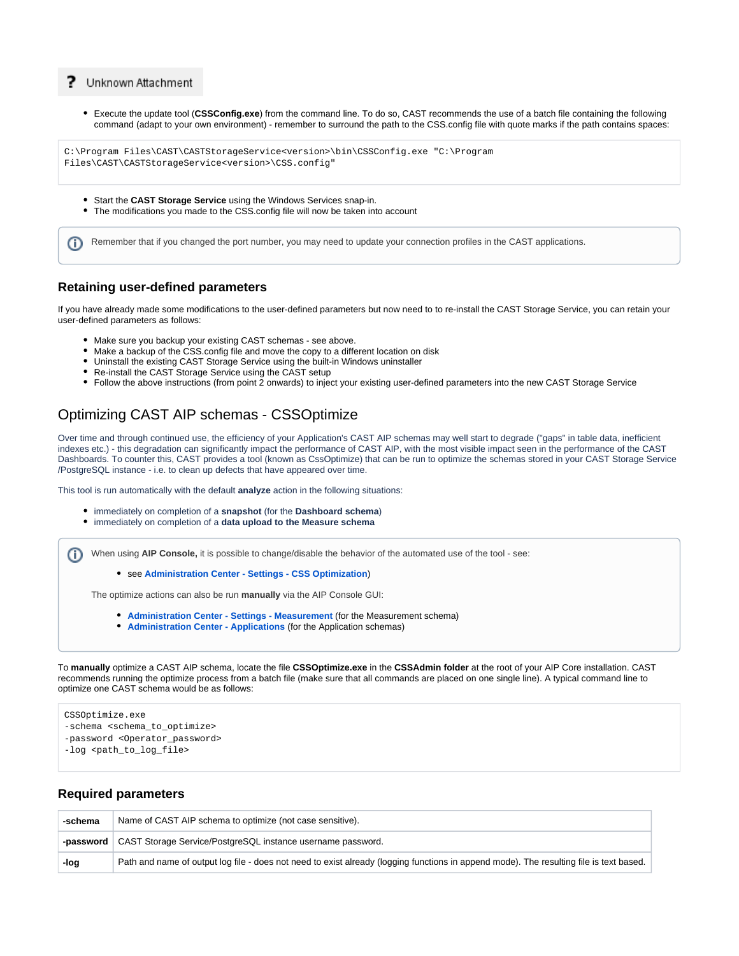#### 7 Unknown Attachment

Execute the update tool (**CSSConfig.exe**) from the command line. To do so, CAST recommends the use of a batch file containing the following command (adapt to your own environment) - remember to surround the path to the CSS.config file with quote marks if the path contains spaces:

```
C:\Program Files\CAST\CASTStorageService<version>\bin\CSSConfig.exe "C:\Program 
Files\CAST\CASTStorageService<version>\CSS.config"
```
- Start the **CAST Storage Service** using the Windows Services snap-in.
- The modifications you made to the CSS.config file will now be taken into account

Remember that if you changed the port number, you may need to update your connection profiles in the CAST applications. G)

#### <span id="page-8-0"></span>**Retaining user-defined parameters**

If you have already made some modifications to the user-defined parameters but now need to to re-install the CAST Storage Service, you can retain your user-defined parameters as follows:

- Make sure you backup your existing CAST schemas see above.
- Make a backup of the CSS.config file and move the copy to a different location on disk
- Uninstall the existing CAST Storage Service using the built-in Windows uninstaller
- Re-install the CAST Storage Service using the CAST setup
- Follow the above instructions (from point 2 onwards) to inject your existing user-defined parameters into the new CAST Storage Service

# <span id="page-8-1"></span>Optimizing CAST AIP schemas - CSSOptimize

Over time and through continued use, the efficiency of your Application's CAST AIP schemas may well start to degrade ("gaps" in table data, inefficient indexes etc.) - this degradation can significantly impact the performance of CAST AIP, with the most visible impact seen in the performance of the CAST Dashboards. To counter this, CAST provides a tool (known as CssOptimize) that can be run to optimize the schemas stored in your CAST Storage Service /PostgreSQL instance - i.e. to clean up defects that have appeared over time.

This tool is run automatically with the default **analyze** action in the following situations:

- immediately on completion of a **snapshot** (for the **Dashboard schema**)
- immediately on completion of a **data upload to the Measure schema**

G) When using **AIP Console,** it is possible to change/disable the behavior of the automated use of the tool - see:

see **[Administration Center - Settings - CSS Optimization](https://doc.castsoftware.com/display/AIPCONSOLEDRAFT/Administration+Center+-+Settings+-+CSS+Optimization)**)

The optimize actions can also be run **manually** via the AIP Console GUI:

- **[Administration Center Settings Measurement](https://doc.castsoftware.com/pages/viewpage.action?pageId=419332167)** (for the Measurement schema)
- **[Administration Center Applications](https://doc.castsoftware.com/pages/viewpage.action?pageId=378516431)** (for the Application schemas)

To **manually** optimize a CAST AIP schema, locate the file **CSSOptimize.exe** in the **CSSAdmin folder** at the root of your AIP Core installation. CAST recommends running the optimize process from a batch file (make sure that all commands are placed on one single line). A typical command line to optimize one CAST schema would be as follows:

CSSOptimize.exe

- -schema <schema\_to\_optimize>
- -password <Operator\_password>

-log <path\_to\_log\_file>

#### <span id="page-8-2"></span>**Required parameters**

<span id="page-8-3"></span>

| -schema | Name of CAST AIP schema to optimize (not case sensitive).                                                                               |
|---------|-----------------------------------------------------------------------------------------------------------------------------------------|
|         | -password   CAST Storage Service/PostgreSQL instance username password.                                                                 |
| -log    | Path and name of output log file - does not need to exist already (logging functions in append mode). The resulting file is text based. |